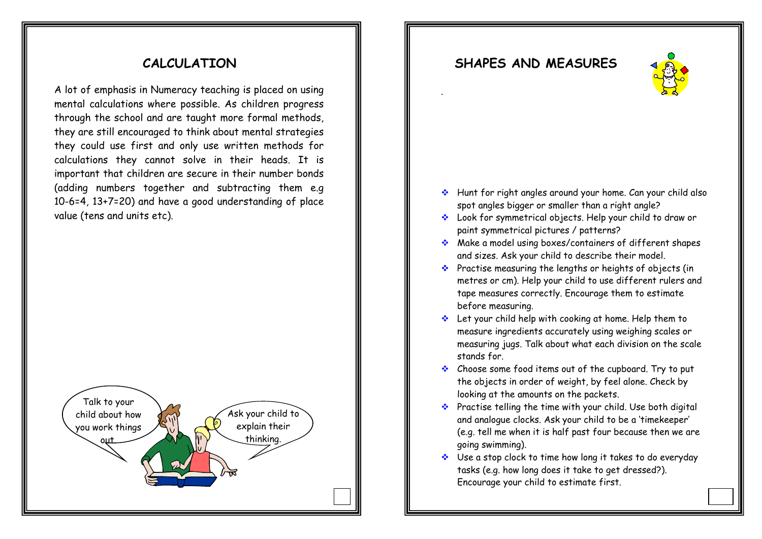#### **CALCULATION**

A lot of emphasis in Numeracy teaching is placed on using mental calculations where possible. As children progress through the school and are taught more formal methods, they are still encouraged to think about mental strategies they could use first and only use written methods for calculations they cannot solve in their heads. It is important that children are secure in their number bonds (adding numbers together and subtracting them e.g 10-6=4, 13+7=20) and have a good understanding of place value (tens and units etc).



#### **SHAPES AND MEASURES**



•Hunt for right angles around your home. Can your child spot angles bigger or smaller than a right angle?

•Look for symmetrical objects. Help your child to draw or paint symmetrical pictures/patterns.

•Practise measuring the lengths or heights of objects in metres or centimetres. Help your child to use different rulers and tape measure correctly. Encourage them to estimate before measuring.

•Let your child chelp with cooking at home. Help them to measure ingredients accurately using a weighing scales or measuring jugs. Talk about what each division on the scales stands for.

•Choose some food items in your kitchen. Try to put these objects in order of weight by feel alone. Check by looking at the weight as printed on the packet.

•Practise telling the time with your child. Use both the digital and analogue clock.

•Use a stop watch to time how long it takes to do everyday tasks e.g. how long does it take to get dressed. Encourage your child to estimate first.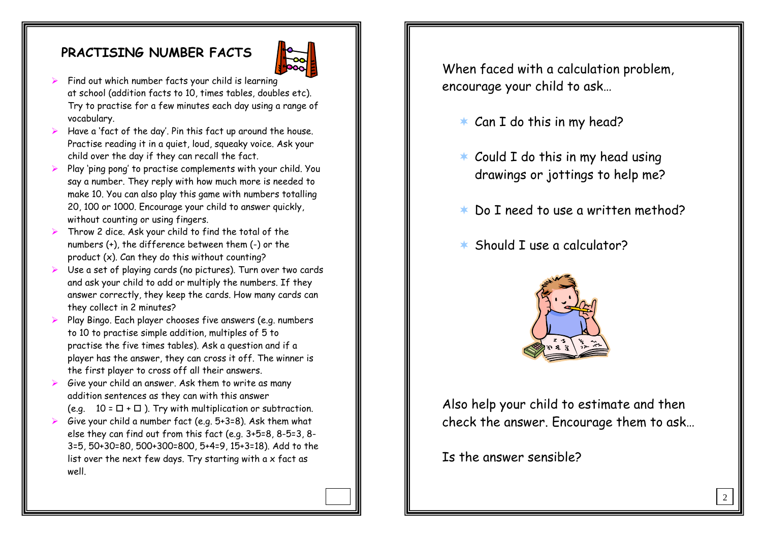#### **PRACTISING NUMBER FACTS**



- $\triangleright$  Find out which number facts your child is learning at school (addition facts to 10, times tables, doubles etc). Try to practise for a few minutes each day using a range of vocabulary.
- ¾ Have a 'fact of the day'. Pin this fact up around the house. Practise reading it in a quiet, loud, squeaky voice. Ask your child over the day if they can recall the fact.
- ¾ Play 'ping pong' to practise complements with your child. You say a number. They reply with how much more is needed to make 10. You can also play this game with numbers totalling 20, 100 or 1000. Encourage your child to answer quickly, without counting or using fingers.
- $\blacktriangleright$  Throw 2 dice. Ask your child to find the total of the numbers (+), the difference between them (-) or the product (x). Can they do this without counting?
- ¾S Use a set of playing cards (no pictures). Turn over two cards and ask your child to add or multiply the numbers. If they answer correctly, they keep the cards. How many cards can they collect in 2 minutes?
- ¾ Play Bingo. Each player chooses five answers (e.g. numbers to 10 to practise simple addition, multiples of 5 to practise the five times tables). Ask a question and if a player has the answer, they can cross it off. The winner is the first player to cross off all their answers.
- ¾ Give your child an answer. Ask them to write as many addition sentences as they can with this answer (e.g.  $10 = \Box + \Box$ ). Try with multiplication or subtraction.
- $\blacktriangleright$  Give your child a number fact (e.g. 5+3=8). Ask them what else they can find out from this fact (e.g. 3+5=8, 8-5=3, 8- 3=5, 50+30=80, 500+300=800, 5+4=9, 15+3=18). Add to the list over the next few days. Try starting with a  $\times$  fact as well.

When faced with a calculation problem, encourage your child to ask…

- $*$  Can I do this in my head?
- $*$  Could I do this in my head using drawings or jottings to help me?
- $\star$ Do I need to use a written method?
- \* Should I use a calculator?



Also help your child to estimate and then check the answer. Encourage them to ask…

Is the answer sensible?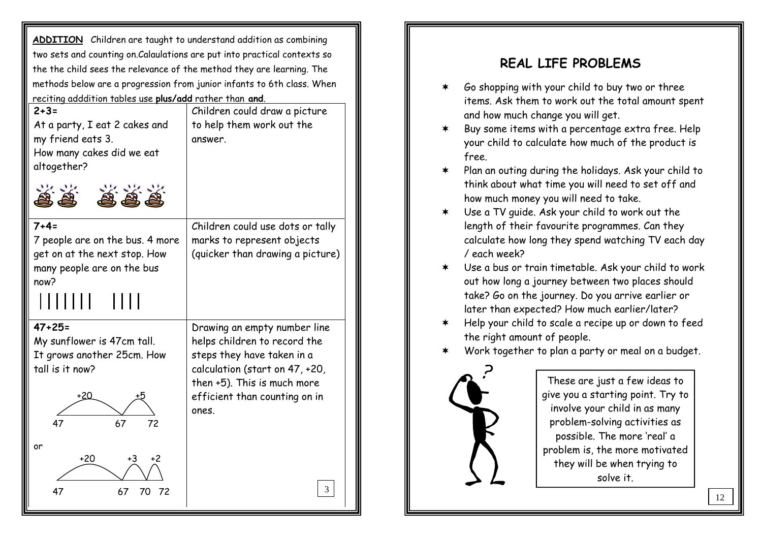**ADDITION** Children are taught to understand addition as combining two sets and counting on.Calaulations are put into practical contexts so the the child sees the relevance of the method they are learning. The methods below are a progression from junior infants to 6th class. When reciting adddition tables use **plus/add** rather than **and**.

| $2 + 3 =$<br>At a party, I eat 2 cakes and<br>my friend eats 3.<br>How many cakes did we eat<br>altogether?               | Children could draw a picture<br>to help them work out the<br>answer.                                                                                                                                 |
|---------------------------------------------------------------------------------------------------------------------------|-------------------------------------------------------------------------------------------------------------------------------------------------------------------------------------------------------|
| $7 + 4 =$<br>7 people are on the bus. 4 more<br>get on at the next stop. How<br>many people are on the bus<br>now?        | Children could use dots or tally<br>marks to represent objects<br>(quicker than drawing a picture)                                                                                                    |
| $47 + 25 =$<br>My sunflower is 47cm tall.<br>It grows another 25cm. How<br>tall is it now?<br>+20<br>47<br>67<br>72<br>or | Drawing an empty number line<br>helps children to record the<br>steps they have taken in a<br>calculation (start on 47, +20,<br>then +5). This is much more<br>efficient than counting on in<br>ones. |
| +20<br>+3<br>+2<br>47<br>67<br>70<br>72                                                                                   | 3                                                                                                                                                                                                     |

### **REAL LIFE PROBLEMS**

- ∗ Go shopping with your child to buy two or three items. Ask them to work out the total amount spent and how much change you will get.
- $\star$  Buy some items with a percentage extra free. Help your child to calculate how much of the product is free.
- $\star$  Plan an outing during the holidays. Ask your child to think about what time you will need to set off and how much money you will need to take.
- $\star$  Use a TV guide. Ask your child to work out the length of their favourite programmes. Can they calculate how long they spend watching TV each day / each week?
- Use a bus or train timetable. Ask your child to work out how long a journey between two places should take? Go on the journey. Do you arrive earlier or later than expected? How much earlier/later?
- $\star$  Help your child to scale a recipe up or down to feed the right amount of people.
- ∗ Work together to plan a party or meal on a budget.



These are just a few ideas to give you a starting point. Try to involve your child in as many problem-solving activities as possible. The more 'real' <sup>a</sup> problem is, the more motivated they will be when trying to solve it.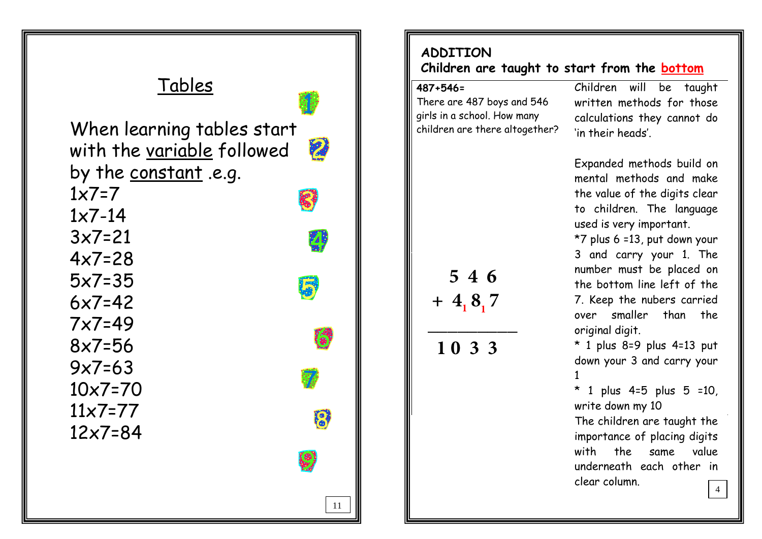# TablesWhen learning tables start 2 with the variable followed by the constant .e.g.  $1x7=7$  1x7-14 3x7=21 4x7=28 5x7=35 6x7=42 7x7=49 8x7=56 9x7=63 10x7=70 11x7=77R 12x7=8411

### **ADDITIONChildren are taught to start from the bottom**

There are 487 boys and 546 girls in a school. How many children are there altogether?

 **5 4 6**

**\_\_\_\_\_\_\_\_\_ 1 0 3 3** $\frac{1}{3}$ 

 **+ 4 8 7**

 **487+546=** Children will be taught written methods for those calculations they cannot do 'in their heads'.

> Expanded methods build on mental methods and make the value of the digits clear to children. The language used is very important.

> \*7 plus 6 =13, put down your 3 and carry your 1. The number must be placed on the bottom line left of the 7. Keep the nubers carried over smaller than the original digit.

\* 1 plus 8=9 plus 4=13 put down your 3 and carry your 1

\* 1 plus 4=5 plus 5 =10, write down my 10

 The children are taught the importance of placing digits with the same value underneath each other in clear column.4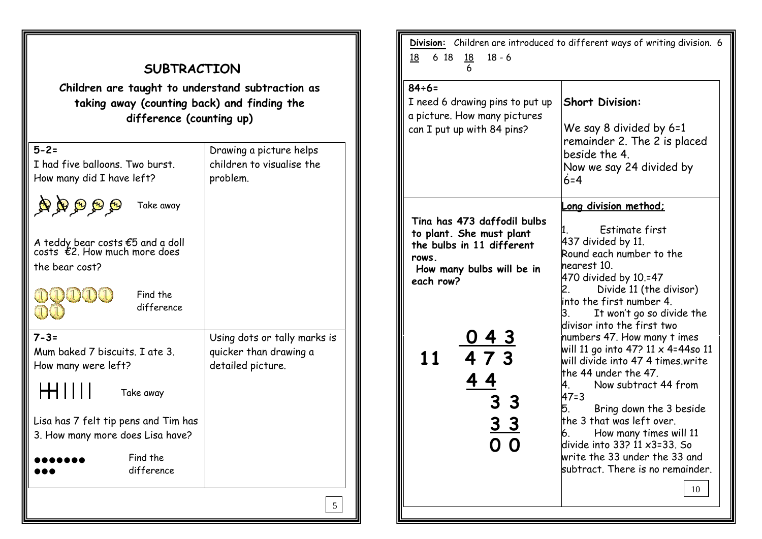| <b>SUBTRACTION</b><br>Children are taught to understand subtraction as<br>taking away (counting back) and finding the<br>difference (counting up) |                                                                             |  |
|---------------------------------------------------------------------------------------------------------------------------------------------------|-----------------------------------------------------------------------------|--|
| $5 - 2 =$<br>I had five balloons. Two burst.<br>How many did I have left?                                                                         | Drawing a picture helps<br>children to visualise the<br>problem.            |  |
| <b>२९९९%</b><br>Take away                                                                                                                         |                                                                             |  |
| A teddy bear costs €5 and a doll<br>costs $\epsilon$ 2. How much more does<br>the bear cost?                                                      |                                                                             |  |
| DAIQUIQ<br>Find the<br>difference<br>33 G                                                                                                         |                                                                             |  |
| $7 - 3 =$<br>Mum baked 7 biscuits. I ate 3.<br>How many were left?                                                                                | Using dots or tally marks is<br>quicker than drawing a<br>detailed picture. |  |
| ┝╋┥║║║║<br>Take away                                                                                                                              |                                                                             |  |
| Lisa has 7 felt tip pens and Tim has<br>3. How many more does Lisa have?                                                                          |                                                                             |  |
| Find the<br>difference                                                                                                                            |                                                                             |  |
|                                                                                                                                                   | 5                                                                           |  |

匠

| Division: Children are introduced to different ways of writing division. 6<br>$18 - 6$<br>6 18<br><u>18</u><br><u>18</u><br>6                                                               |                                                                                                                                                                                                                                                                                                                                                                                                                                                                                                                                                                                                                                                              |  |
|---------------------------------------------------------------------------------------------------------------------------------------------------------------------------------------------|--------------------------------------------------------------------------------------------------------------------------------------------------------------------------------------------------------------------------------------------------------------------------------------------------------------------------------------------------------------------------------------------------------------------------------------------------------------------------------------------------------------------------------------------------------------------------------------------------------------------------------------------------------------|--|
| $84 \div 6 =$<br>I need 6 drawing pins to put up<br>a picture. How many pictures<br>can I put up with 84 pins?                                                                              | <b>Short Division:</b><br>We say 8 divided by 6=1<br>remainder 2. The 2 is placed<br>beside the 4.<br>Now we say 24 divided by<br>$6 = 4$                                                                                                                                                                                                                                                                                                                                                                                                                                                                                                                    |  |
| Tina has 473 daffodil bulbs<br>to plant. She must plant<br>the bulbs in 11 different<br>rows.<br>How many bulbs will be in<br>each row?<br><u>043</u><br>473<br>11<br>3 3<br>3 <sub>3</sub> | <u>Long division method;</u><br>Estimate first<br>437 divided by 11.<br>Round each number to the<br>nearest 10.<br>470 divided by 10.=47<br>Divide 11 (the divisor)<br>2.<br>into the first number 4.<br>It won't go so divide the<br>3.<br>divisor into the first two<br>numbers 47. How many t imes<br>will 11 go into 47? 11 x 4=44so 11<br>will divide into 47 4 times.write<br>the 44 under the 47.<br>Now subtract 44 from<br>4.<br>$47 = 3$<br>Bring down the 3 beside<br>5.<br>the 3 that was left over.<br>How many times will 11<br>6.<br>ldivide into 33? 11 x3=33. So<br>write the 33 under the 33 and<br>subtract. There is no remainder.<br>10 |  |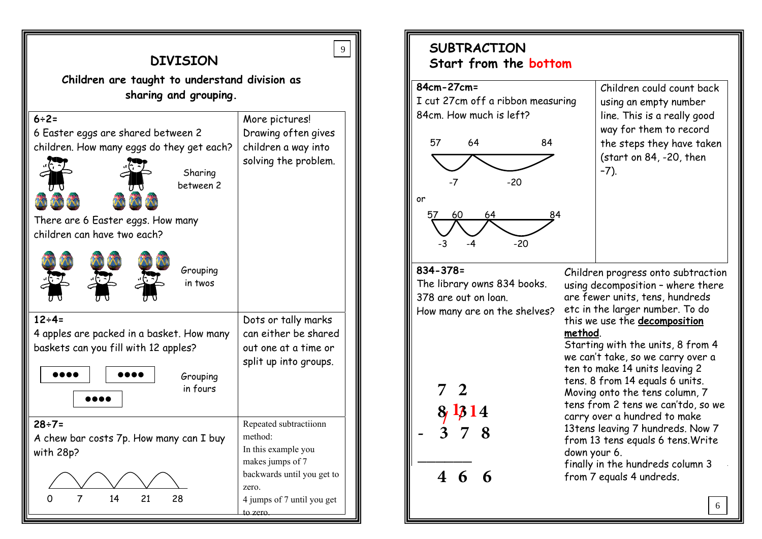| DTAT2TOM                                                                                                                                                                                 |                                                                                                                                                               |  |
|------------------------------------------------------------------------------------------------------------------------------------------------------------------------------------------|---------------------------------------------------------------------------------------------------------------------------------------------------------------|--|
| Children are taught to understand division as<br>sharing and grouping.                                                                                                                   |                                                                                                                                                               |  |
| $6 ÷ 2 =$<br>6 Easter eggs are shared between 2<br>children. How many eggs do they get each?<br>Sharing<br>between 2<br>There are 6 Easter eggs. How many<br>children can have two each? | More pictures!<br>Drawing often gives<br>children a way into<br>solving the problem.                                                                          |  |
| Grouping<br>in twos                                                                                                                                                                      |                                                                                                                                                               |  |
| $12 \div 4 =$<br>4 apples are packed in a basket. How many<br>baskets can you fill with 12 apples?<br>Grouping<br>in fours                                                               | Dots or tally marks<br>can either be shared<br>out one at a time or<br>split up into groups.                                                                  |  |
| $28 ÷ 7 =$<br>A chew bar costs 7p. How many can I buy<br>with 28p?<br>0<br>14<br>21<br>28<br>7                                                                                           | Repeated subtractiionn<br>method:<br>In this example you<br>makes jumps of 7<br>backwards until you get to<br>zero.<br>4 jumps of 7 until you get<br>to zero. |  |

**DIVEREAL!** 

#### **SUBTRACTIONStart from the bottom**

#### **84cm-27cm=**

9





Children could count back using an empty number line. This is a really good way for them to record the steps they have taken (start on 84, -20, then –7).

#### **834-378=**

The library owns 834 books. 378 are out on loan.How many are on the shelves?



Children progress onto subtraction using decomposition – where there are fewer units, tens, hundreds etc in the larger number. To do this we use the **decomposition method**.

 Starting with the units, 8 from 4 we can't take, so we carry over a ten to make 14 units leaving 2 tens. 8 from 14 equals 6 units. Moving onto the tens column, 7 tens from 2 tens we can'tdo, so we carry over a hundred to make 13tens leaving 7 hundreds. Now 7 from 13 tens equals 6 tens.Write down your 6.

finally in the hundreds column 3 from 7 equals 4 undreds.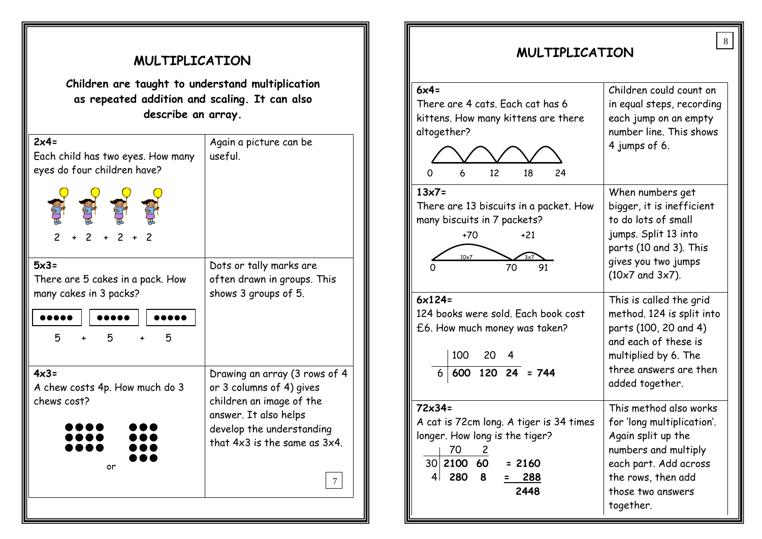| MULTIPLICATION                                                                                                          |                                                                                                                                                                                            |  |
|-------------------------------------------------------------------------------------------------------------------------|--------------------------------------------------------------------------------------------------------------------------------------------------------------------------------------------|--|
| Children are taught to understand multiplication<br>as repeated addition and scaling. It can also<br>describe an array. |                                                                                                                                                                                            |  |
| $2x4=$<br>Each child has two eyes. How many<br>eyes do four children have?                                              | Again a picture can be<br>useful.                                                                                                                                                          |  |
| $5x3=$<br>There are 5 cakes in a pack. How<br>many cakes in 3 packs?<br>5<br>5<br>5                                     | Dots or tally marks are<br>often drawn in groups. This<br>shows 3 groups of 5.                                                                                                             |  |
| $4x3=$<br>A chew costs 4p. How much do 3<br>chews cost?<br>or                                                           | Drawing an array (3 rows of 4<br>or 3 columns of 4) gives<br>children an image of the<br>answer. It also helps<br>develop the understanding<br>that $4x3$ is the same as $3x4$ .<br>$\tau$ |  |
|                                                                                                                         |                                                                                                                                                                                            |  |

| $6x4=$                                  | Children could count on                     |
|-----------------------------------------|---------------------------------------------|
| There are 4 cats. Each cat has 6        | in equal steps, recording                   |
| kittens. How many kittens are there     | each jump on an empty                       |
| altogether?                             | number line. This shows                     |
|                                         | 4 jumps of 6.                               |
|                                         |                                             |
| 6<br>12<br>18<br>24<br>O                |                                             |
| $13x7=$                                 | When numbers get                            |
| There are 13 biscuits in a packet. How  | bigger, it is inefficient                   |
| many biscuits in 7 packets?             | to do lots of small                         |
| $+70$<br>$+21$                          | jumps. Split 13 into                        |
| $10\times 7$                            | parts (10 and 3). This                      |
| 70<br>91                                | gives you two jumps<br>$(10x7$ and $3x7)$ . |
|                                         |                                             |
| $6x124=$                                | This is called the grid                     |
| 124 books were sold. Each book cost     | method. 124 is split into                   |
| £6. How much money was taken?           | parts (100, 20 and 4)                       |
|                                         | and each of these is                        |
| 100 20                                  | multiplied by 6. The                        |
| $\overline{600}$ 120 24 = 744           | three answers are then                      |
|                                         | added together.                             |
| $72\times34=$                           | This method also works                      |
| A cat is 72cm long. A tiger is 34 times | for 'long multiplication'.                  |
| longer. How long is the tiger?          | Again split up the                          |
| 70<br>$\overline{\phantom{a}}$ 2        | numbers and multiply                        |
| 30 2100 60<br>$= 2160$                  | each part. Add across                       |
| 4 <br>280<br>8<br>288                   | the rows, then add                          |
| 2448                                    | those two answers                           |
|                                         | together.                                   |

**MULTIPLICATION MULTIPLICATION**

8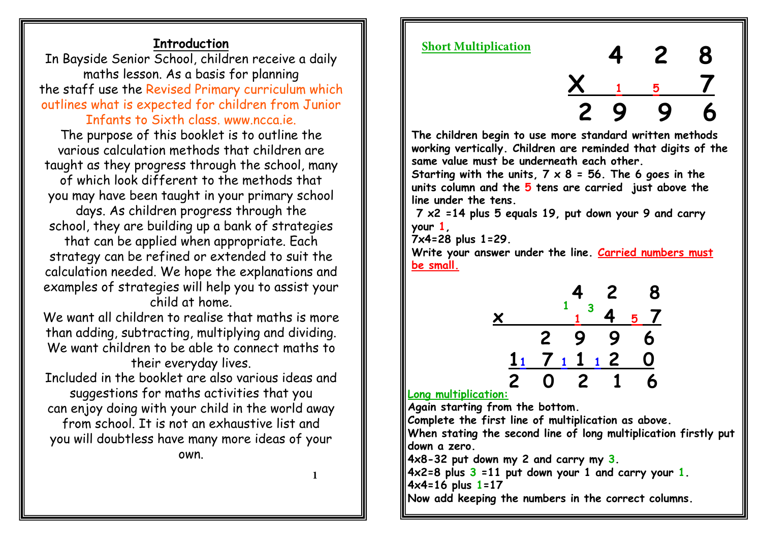#### **Introduction**

 In Bayside Senior School, children receive a daily maths lesson. As a basis for planning the staff use the Revised Primary curriculum which outlines what is expected for children from Junior

#### Infants to Sixth class, www.ncca.ie.

The purpose of this booklet is to outline the various calculation methods that children aretaught as they progress through the school, many

of which look different to the methods thatyou may have been taught in your primary school

days. As children progress through theschool, they are building up a bank of strategies

that can be applied when appropriate. Each strategy can be refined or extended to suit the calculation needed. We hope the explanations and examples of strategies will help you to assist your child at home.

We want all children to realise that maths is more than adding, subtracting, multiplying and dividing. We want children to be able to connect maths to their everyday lives.

Included in the booklet are also various ideas and suggestions for maths activities that you can enjoy doing with your child in the world away from school. It is not an exhaustive list and you will doubtless have many more ideas of your own.

**1**

#### **Short Multiplication**



**The children begin to use more standard written methods working vertically. Children are reminded that digits of the same value must be underneath each other.** 

 **Starting with the units, 7 x 8 = 56. The 6 goes in the units column and the 5 tens are carried just above the line under the tens.**

  **7 x2 =14 plus 5 equals 19, put down your 9 and carry your 1,** 

**7x4=28 plus 1=29.** 

 **Write your answer under the line. Carried numbers must be small.**



**Long multiplication:**

**Again starting from the bottom.** 

**Complete the first line of multiplication as above.**

 **When stating the second line of long multiplication firstly put down a zero.** 

**4x8-32 put down my 2 and carry my 3.** 

**4x2=8 plus 3 =11 put down your 1 and carry your 1.**

**4x4=16 plus 1=17** 

**Now add keeping the numbers in the correct columns.**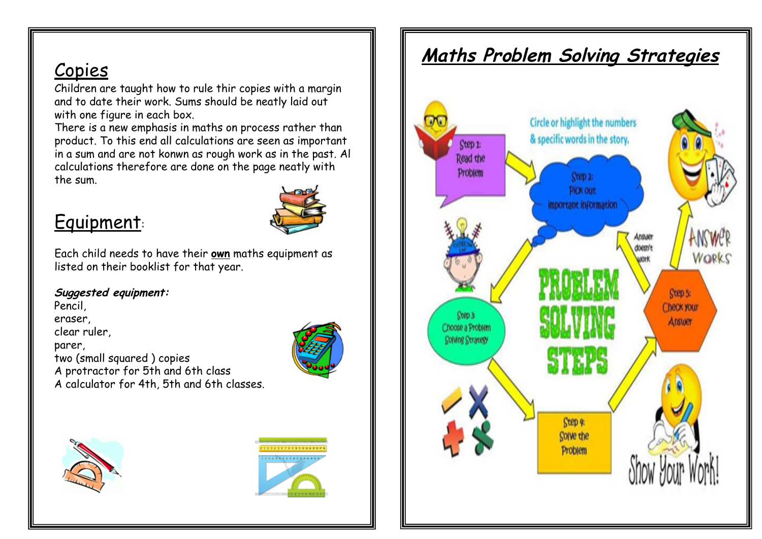# Copies

 Children are taught how to rule thir copies with a margin and to date their work. Sums should be neatly laid out with one figure in each box.

There is a new emphasis in maths on process rather than product. To this end all calculations are seen as important in a sum and are not konwn as rough work as in the past. Al calculations therefore are done on the page neatly with the sum.

# Equipment:



Each child needs to have their **own** maths equipment as listed on their booklist for that year.

#### **Suggested equipment:**

Pencil,eraser, clear ruler,parer, two (small squared ) copies A protractor for 5th and 6th classA calculator for 4th, 5th and 6th classes.







# **Maths Problem Solving Strategies**